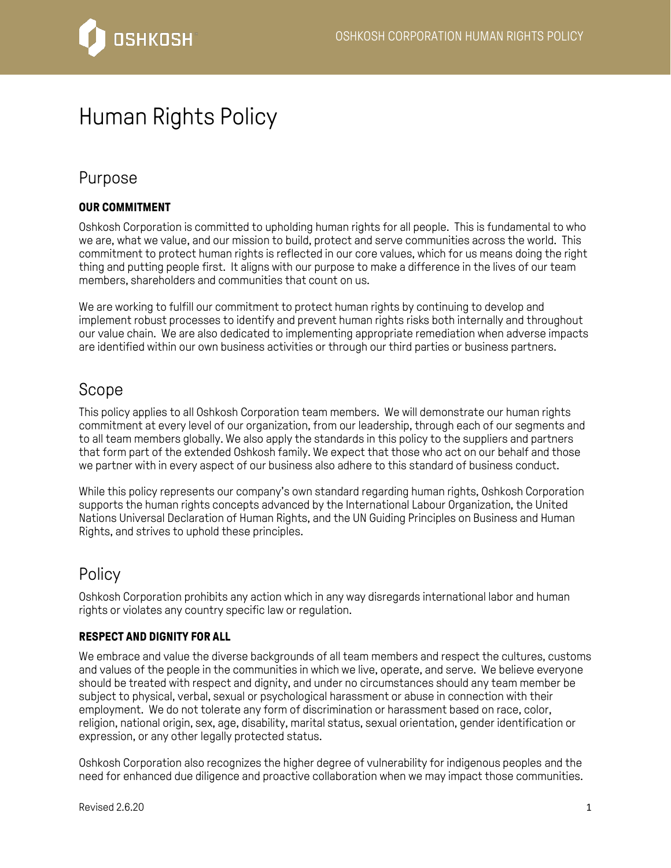

# Human Rights Policy

### Purpose

### **OUR COMMITMENT**

Oshkosh Corporation is committed to upholding human rights for all people. This is fundamental to who we are, what we value, and our mission to build, protect and serve communities across the world. This commitment to protect human rights is reflected in our core values, which for us means doing the right thing and putting people first. It aligns with our purpose to make a difference in the lives of our team members, shareholders and communities that count on us.

We are working to fulfill our commitment to protect human rights by continuing to develop and implement robust processes to identify and prevent human rights risks both internally and throughout our value chain. We are also dedicated to implementing appropriate remediation when adverse impacts are identified within our own business activities or through our third parties or business partners.

## Scope

This policy applies to all Oshkosh Corporation team members. We will demonstrate our human rights commitment at every level of our organization, from our leadership, through each of our segments and to all team members globally. We also apply the standards in this policy to the suppliers and partners that form part of the extended Oshkosh family. We expect that those who act on our behalf and those we partner with in every aspect of our business also adhere to this standard of business conduct.

While this policy represents our company's own standard regarding human rights, Oshkosh Corporation supports the human rights concepts advanced by the International Labour Organization, the United Nations Universal Declaration of Human Rights, and the UN Guiding Principles on Business and Human Rights, and strives to uphold these principles.

### Policy

Oshkosh Corporation prohibits any action which in any way disregards international labor and human rights or violates any country specific law or regulation.

#### **RESPECT AND DIGNITY FOR ALL**

We embrace and value the diverse backgrounds of all team members and respect the cultures, customs and values of the people in the communities in which we live, operate, and serve. We believe everyone should be treated with respect and dignity, and under no circumstances should any team member be subject to physical, verbal, sexual or psychological harassment or abuse in connection with their employment. We do not tolerate any form of discrimination or harassment based on race, color, religion, national origin, sex, age, disability, marital status, sexual orientation, gender identification or expression, or any other legally protected status.

Oshkosh Corporation also recognizes the higher degree of vulnerability for indigenous peoples and the need for enhanced due diligence and proactive collaboration when we may impact those communities.